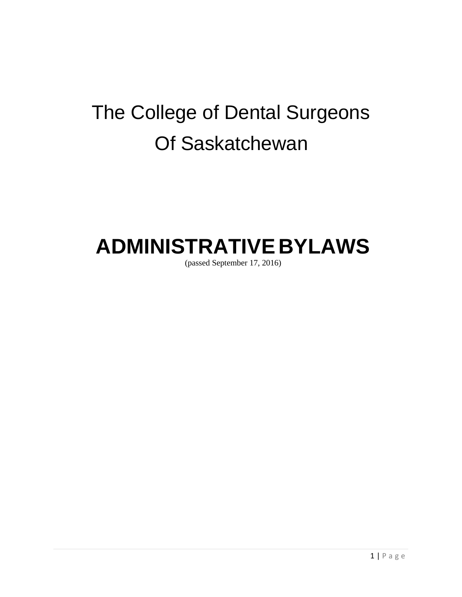# The College of Dental Surgeons Of Saskatchewan

## **ADMINISTRATIVE BYLAWS**

(passed September 17, 2016)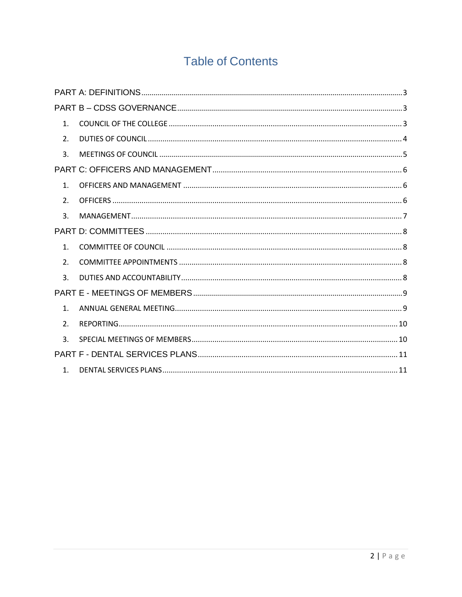## **Table of Contents**

| 1 <sub>1</sub> |  |
|----------------|--|
| 2 <sub>1</sub> |  |
| 3.             |  |
|                |  |
| 1 <sub>1</sub> |  |
| 2 <sub>1</sub> |  |
| 3.             |  |
|                |  |
| 1 <sup>1</sup> |  |
| 2 <sub>1</sub> |  |
| $\mathbf{R}$   |  |
|                |  |
| 1 <sub>1</sub> |  |
| 2 <sub>1</sub> |  |
| 3.             |  |
|                |  |
| 1 <sup>1</sup> |  |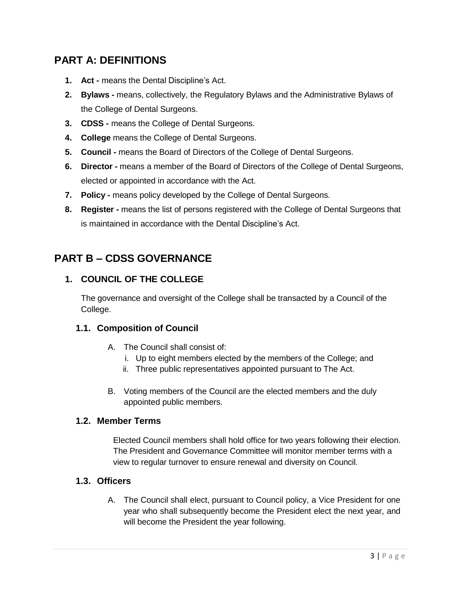## <span id="page-2-0"></span>**PART A: DEFINITIONS**

- **1. Act -** means the Dental Discipline's Act.
- **2. Bylaws -** means, collectively, the Regulatory Bylaws and the Administrative Bylaws of the College of Dental Surgeons.
- **3. CDSS -** means the College of Dental Surgeons.
- **4. College** means the College of Dental Surgeons.
- **5. Council -** means the Board of Directors of the College of Dental Surgeons.
- **6. Director -** means a member of the Board of Directors of the College of Dental Surgeons, elected or appointed in accordance with the Act.
- **7. Policy -** means policy developed by the College of Dental Surgeons.
- **8. Register -** means the list of persons registered with the College of Dental Surgeons that is maintained in accordance with the Dental Discipline's Act.

## <span id="page-2-2"></span><span id="page-2-1"></span>**PART B – CDSS GOVERNANCE**

#### **1. COUNCIL OF THE COLLEGE**

The governance and oversight of the College shall be transacted by a Council of the College.

#### **1.1. Composition of Council**

- A. The Council shall consist of:
	- i. Up to eight members elected by the members of the College; and
	- ii. Three public representatives appointed pursuant to The Act.
- B. Voting members of the Council are the elected members and the duly appointed public members.

#### **1.2. Member Terms**

Elected Council members shall hold office for two years following their election. The President and Governance Committee will monitor member terms with a view to regular turnover to ensure renewal and diversity on Council.

#### **1.3. Officers**

A. The Council shall elect, pursuant to Council policy, a Vice President for one year who shall subsequently become the President elect the next year, and will become the President the year following.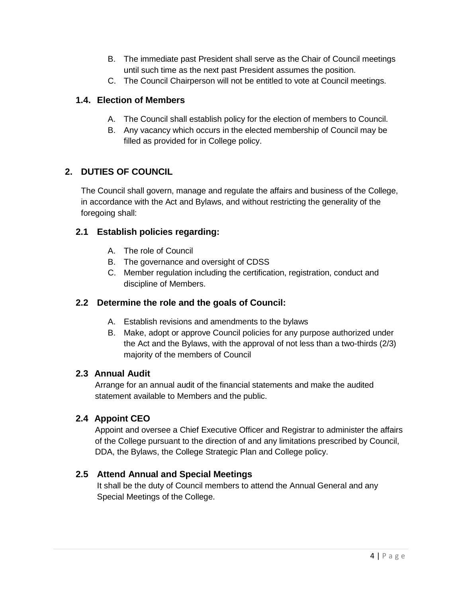- B. The immediate past President shall serve as the Chair of Council meetings until such time as the next past President assumes the position.
- C. The Council Chairperson will not be entitled to vote at Council meetings.

#### **1.4. Election of Members**

- A. The Council shall establish policy for the election of members to Council.
- B. Any vacancy which occurs in the elected membership of Council may be filled as provided for in College policy.

#### <span id="page-3-0"></span>**2. DUTIES OF COUNCIL**

The Council shall govern, manage and regulate the affairs and business of the College, in accordance with the Act and Bylaws, and without restricting the generality of the foregoing shall:

#### **2.1 Establish policies regarding:**

- A. The role of Council
- B. The governance and oversight of CDSS
- C. Member regulation including the certification, registration, conduct and discipline of Members.

#### **2.2 Determine the role and the goals of Council:**

- A. Establish revisions and amendments to the bylaws
- B. Make, adopt or approve Council policies for any purpose authorized under the Act and the Bylaws, with the approval of not less than a two-thirds (2/3) majority of the members of Council

#### **2.3 Annual Audit**

Arrange for an annual audit of the financial statements and make the audited statement available to Members and the public.

#### **2.4 Appoint CEO**

Appoint and oversee a Chief Executive Officer and Registrar to administer the affairs of the College pursuant to the direction of and any limitations prescribed by Council, DDA, the Bylaws, the College Strategic Plan and College policy.

#### **2.5 Attend Annual and Special Meetings**

It shall be the duty of Council members to attend the Annual General and any Special Meetings of the College.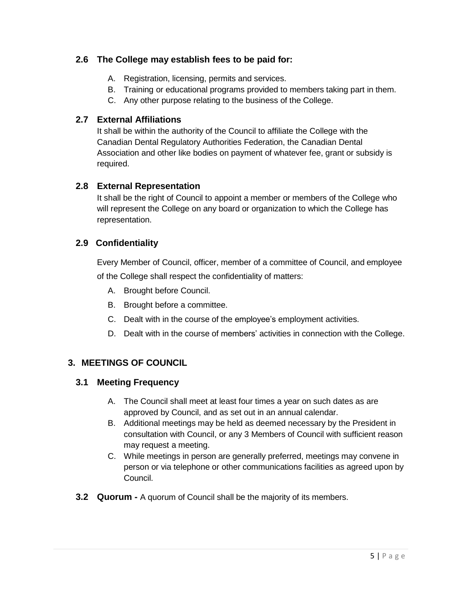#### **2.6 The College may establish fees to be paid for:**

- A. Registration, licensing, permits and services.
- B. Training or educational programs provided to members taking part in them.
- C. Any other purpose relating to the business of the College.

#### **2.7 External Affiliations**

It shall be within the authority of the Council to affiliate the College with the Canadian Dental Regulatory Authorities Federation, the Canadian Dental Association and other like bodies on payment of whatever fee, grant or subsidy is required.

#### **2.8 External Representation**

It shall be the right of Council to appoint a member or members of the College who will represent the College on any board or organization to which the College has representation.

#### **2.9 Confidentiality**

Every Member of Council, officer, member of a committee of Council, and employee of the College shall respect the confidentiality of matters:

- A. Brought before Council.
- B. Brought before a committee.
- C. Dealt with in the course of the employee's employment activities.
- D. Dealt with in the course of members' activities in connection with the College.

#### <span id="page-4-0"></span>**3. MEETINGS OF COUNCIL**

#### **3.1 Meeting Frequency**

- A. The Council shall meet at least four times a year on such dates as are approved by Council, and as set out in an annual calendar.
- B. Additional meetings may be held as deemed necessary by the President in consultation with Council, or any 3 Members of Council with sufficient reason may request a meeting.
- C. While meetings in person are generally preferred, meetings may convene in person or via telephone or other communications facilities as agreed upon by Council.
- **3.2 Quorum -** A quorum of Council shall be the majority of its members.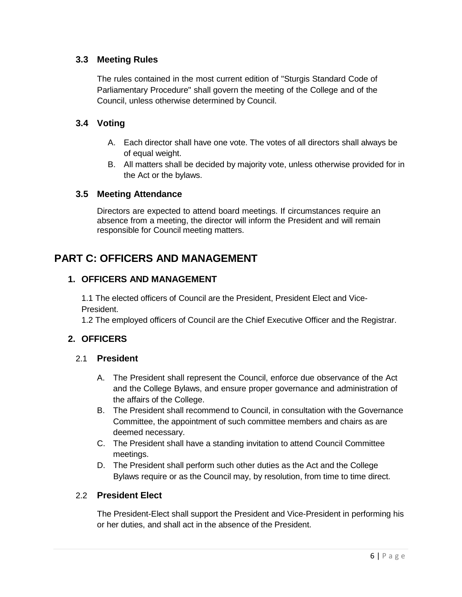#### **3.3 Meeting Rules**

The rules contained in the most current edition of "Sturgis Standard Code of Parliamentary Procedure" shall govern the meeting of the College and of the Council, unless otherwise determined by Council.

#### **3.4 Voting**

- A. Each director shall have one vote. The votes of all directors shall always be of equal weight.
- B. All matters shall be decided by majority vote, unless otherwise provided for in the Act or the bylaws.

#### **3.5 Meeting Attendance**

Directors are expected to attend board meetings. If circumstances require an absence from a meeting, the director will inform the President and will remain responsible for Council meeting matters.

## <span id="page-5-1"></span><span id="page-5-0"></span>**PART C: OFFICERS AND MANAGEMENT**

#### **1. OFFICERS AND MANAGEMENT**

1.1 The elected officers of Council are the President, President Elect and Vice-President.

1.2 The employed officers of Council are the Chief Executive Officer and the Registrar.

#### <span id="page-5-2"></span>**2. OFFICERS**

#### 2.1 **President**

- A. The President shall represent the Council, enforce due observance of the Act and the College Bylaws, and ensure proper governance and administration of the affairs of the College.
- B. The President shall recommend to Council, in consultation with the Governance Committee, the appointment of such committee members and chairs as are deemed necessary.
- C. The President shall have a standing invitation to attend Council Committee meetings.
- D. The President shall perform such other duties as the Act and the College Bylaws require or as the Council may, by resolution, from time to time direct.

#### 2.2 **President Elect**

The President-Elect shall support the President and Vice-President in performing his or her duties, and shall act in the absence of the President.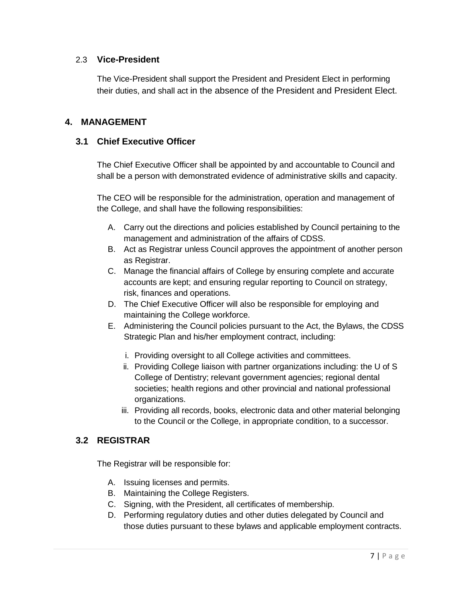#### 2.3 **Vice-President**

The Vice-President shall support the President and President Elect in performing their duties, and shall act in the absence of the President and President Elect.

#### <span id="page-6-0"></span>**4. MANAGEMENT**

#### **3.1 Chief Executive Officer**

The Chief Executive Officer shall be appointed by and accountable to Council and shall be a person with demonstrated evidence of administrative skills and capacity.

The CEO will be responsible for the administration, operation and management of the College, and shall have the following responsibilities:

- A. Carry out the directions and policies established by Council pertaining to the management and administration of the affairs of CDSS.
- B. Act as Registrar unless Council approves the appointment of another person as Registrar.
- C. Manage the financial affairs of College by ensuring complete and accurate accounts are kept; and ensuring regular reporting to Council on strategy, risk, finances and operations.
- D. The Chief Executive Officer will also be responsible for employing and maintaining the College workforce.
- E. Administering the Council policies pursuant to the Act, the Bylaws, the CDSS Strategic Plan and his/her employment contract, including:
	- i. Providing oversight to all College activities and committees.
	- ii. Providing College liaison with partner organizations including: the U of S College of Dentistry; relevant government agencies; regional dental societies; health regions and other provincial and national professional organizations.
	- iii. Providing all records, books, electronic data and other material belonging to the Council or the College, in appropriate condition, to a successor.

#### **3.2 REGISTRAR**

The Registrar will be responsible for:

- A. Issuing licenses and permits.
- B. Maintaining the College Registers.
- C. Signing, with the President, all certificates of membership.
- D. Performing regulatory duties and other duties delegated by Council and those duties pursuant to these bylaws and applicable employment contracts.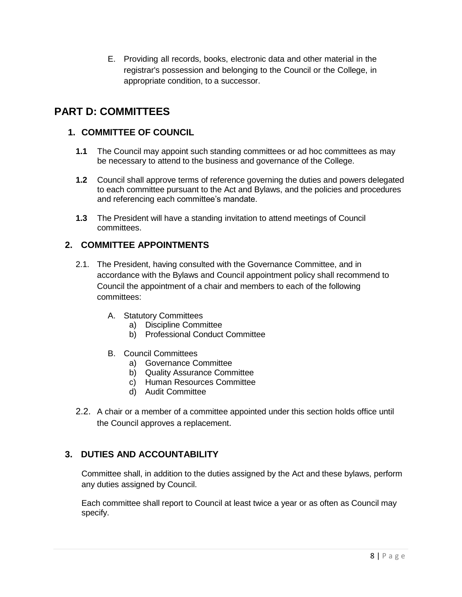E. Providing all records, books, electronic data and other material in the registrar's possession and belonging to the Council or the College, in appropriate condition, to a successor.

## <span id="page-7-1"></span><span id="page-7-0"></span>**PART D: COMMITTEES**

#### **1. COMMITTEE OF COUNCIL**

- **1.1** The Council may appoint such standing committees or ad hoc committees as may be necessary to attend to the business and governance of the College.
- **1.2** Council shall approve terms of reference governing the duties and powers delegated to each committee pursuant to the Act and Bylaws, and the policies and procedures and referencing each committee's mandate.
- **1.3** The President will have a standing invitation to attend meetings of Council committees.

#### <span id="page-7-2"></span>**2. COMMITTEE APPOINTMENTS**

- 2.1. The President, having consulted with the Governance Committee, and in accordance with the Bylaws and Council appointment policy shall recommend to Council the appointment of a chair and members to each of the following committees:
	- A. Statutory Committees
		- a) Discipline Committee
		- b) Professional Conduct Committee
	- B. Council Committees
		- a) Governance Committee
		- b) Quality Assurance Committee
		- c) Human Resources Committee
		- d) Audit Committee
- 2.2. A chair or a member of a committee appointed under this section holds office until the Council approves a replacement.

#### <span id="page-7-3"></span>**3. DUTIES AND ACCOUNTABILITY**

Committee shall, in addition to the duties assigned by the Act and these bylaws, perform any duties assigned by Council.

Each committee shall report to Council at least twice a year or as often as Council may specify.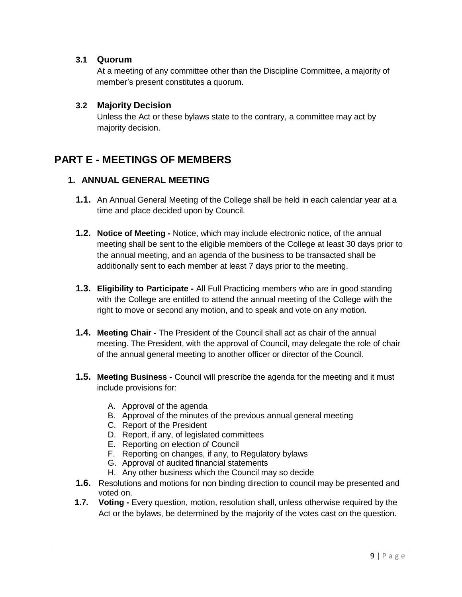#### **3.1 Quorum**

At a meeting of any committee other than the Discipline Committee, a majority of member's present constitutes a quorum.

#### **3.2 Majority Decision**

Unless the Act or these bylaws state to the contrary, a committee may act by majority decision.

### <span id="page-8-1"></span><span id="page-8-0"></span>**PART E - MEETINGS OF MEMBERS**

#### **1. ANNUAL GENERAL MEETING**

- **1.1.** An Annual General Meeting of the College shall be held in each calendar year at a time and place decided upon by Council.
- **1.2. Notice of Meeting -** Notice, which may include electronic notice, of the annual meeting shall be sent to the eligible members of the College at least 30 days prior to the annual meeting, and an agenda of the business to be transacted shall be additionally sent to each member at least 7 days prior to the meeting.
- **1.3. Eligibility to Participate -** All Full Practicing members who are in good standing with the College are entitled to attend the annual meeting of the College with the right to move or second any motion, and to speak and vote on any motion.
- **1.4. Meeting Chair -** The President of the Council shall act as chair of the annual meeting. The President, with the approval of Council, may delegate the role of chair of the annual general meeting to another officer or director of the Council.
- **1.5. Meeting Business -** Council will prescribe the agenda for the meeting and it must include provisions for:
	- A. Approval of the agenda
	- B. Approval of the minutes of the previous annual general meeting
	- C. Report of the President
	- D. Report, if any, of legislated committees
	- E. Reporting on election of Council
	- F. Reporting on changes, if any, to Regulatory bylaws
	- G. Approval of audited financial statements
	- H. Any other business which the Council may so decide
- **1.6.** Resolutions and motions for non binding direction to council may be presented and voted on.
- **1.7. Voting -** Every question, motion, resolution shall, unless otherwise required by the Act or the bylaws, be determined by the majority of the votes cast on the question.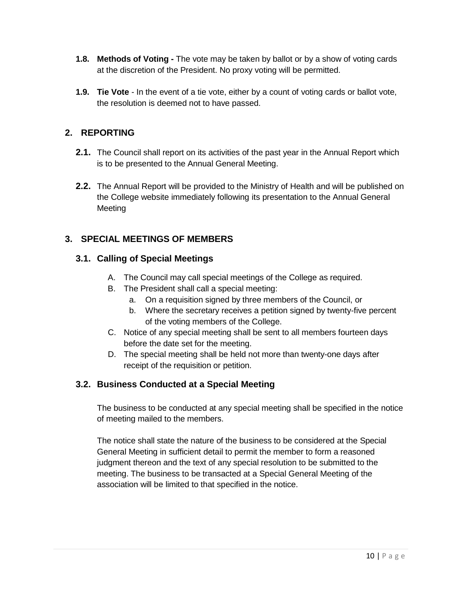- **1.8. Methods of Voting -** The vote may be taken by ballot or by a show of voting cards at the discretion of the President. No proxy voting will be permitted.
- **1.9. Tie Vote** In the event of a tie vote, either by a count of voting cards or ballot vote, the resolution is deemed not to have passed.

#### <span id="page-9-0"></span>**2. REPORTING**

- **2.1.** The Council shall report on its activities of the past year in the Annual Report which is to be presented to the Annual General Meeting.
- **2.2.** The Annual Report will be provided to the Ministry of Health and will be published on the College website immediately following its presentation to the Annual General **Meeting**

#### <span id="page-9-1"></span>**3. SPECIAL MEETINGS OF MEMBERS**

#### **3.1. Calling of Special Meetings**

- A. The Council may call special meetings of the College as required.
- B. The President shall call a special meeting:
	- a. On a requisition signed by three members of the Council, or
	- b. Where the secretary receives a petition signed by twenty-five percent of the voting members of the College.
- C. Notice of any special meeting shall be sent to all members fourteen days before the date set for the meeting.
- D. The special meeting shall be held not more than twenty-one days after receipt of the requisition or petition.

#### **3.2. Business Conducted at a Special Meeting**

The business to be conducted at any special meeting shall be specified in the notice of meeting mailed to the members.

The notice shall state the nature of the business to be considered at the Special General Meeting in sufficient detail to permit the member to form a reasoned judgment thereon and the text of any special resolution to be submitted to the meeting. The business to be transacted at a Special General Meeting of the association will be limited to that specified in the notice.